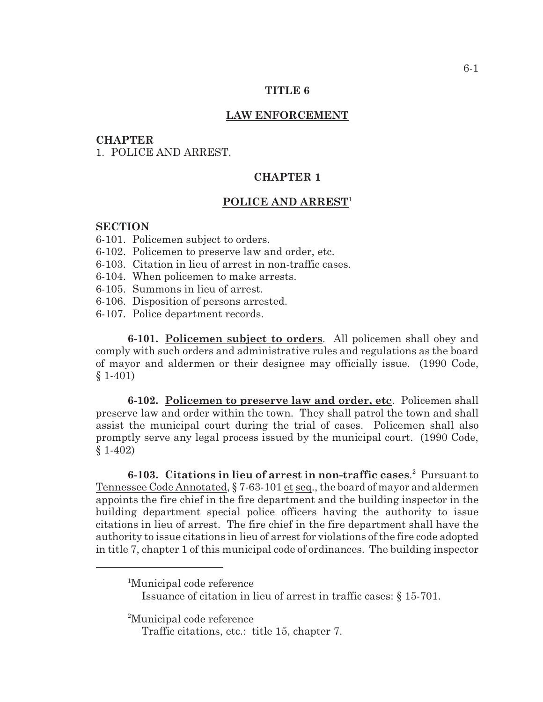### **TITLE 6**

### **LAW ENFORCEMENT**

### **CHAPTER**

1. POLICE AND ARREST.

## **CHAPTER 1**

# **POLICE AND ARREST** 1

### **SECTION**

- 6-101. Policemen subject to orders.
- 6-102. Policemen to preserve law and order, etc.
- 6-103. Citation in lieu of arrest in non-traffic cases.
- 6-104. When policemen to make arrests.
- 6-105. Summons in lieu of arrest.
- 6-106. Disposition of persons arrested.
- 6-107. Police department records.

**6-101. Policemen subject to orders**. All policemen shall obey and comply with such orders and administrative rules and regulations as the board of mayor and aldermen or their designee may officially issue. (1990 Code,  $§ 1-401)$ 

**6-102. Policemen to preserve law and order, etc**. Policemen shall preserve law and order within the town. They shall patrol the town and shall assist the municipal court during the trial of cases. Policemen shall also promptly serve any legal process issued by the municipal court. (1990 Code, § 1-402)

**6-103.** Citations in lieu of arrest in non-traffic cases.<sup>2</sup> Pursuant to Tennessee Code Annotated, § 7-63-101 et seq., the board of mayor and aldermen appoints the fire chief in the fire department and the building inspector in the building department special police officers having the authority to issue citations in lieu of arrest. The fire chief in the fire department shall have the authority to issue citations in lieu of arrest for violations of the fire code adopted in title 7, chapter 1 of this municipal code of ordinances. The building inspector

<sup>2</sup>Municipal code reference

<sup>&</sup>lt;sup>1</sup>Municipal code reference

Issuance of citation in lieu of arrest in traffic cases: § 15-701.

Traffic citations, etc.: title 15, chapter 7.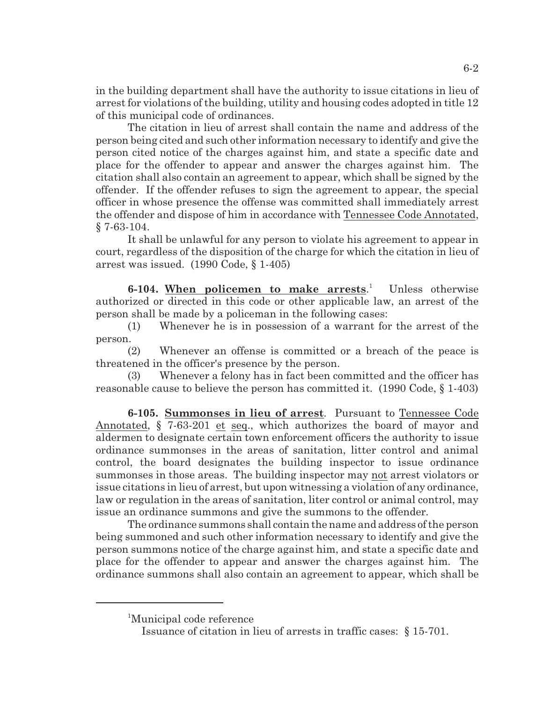in the building department shall have the authority to issue citations in lieu of arrest for violations of the building, utility and housing codes adopted in title 12 of this municipal code of ordinances.

The citation in lieu of arrest shall contain the name and address of the person being cited and such other information necessary to identify and give the person cited notice of the charges against him, and state a specific date and place for the offender to appear and answer the charges against him. The citation shall also contain an agreement to appear, which shall be signed by the offender. If the offender refuses to sign the agreement to appear, the special officer in whose presence the offense was committed shall immediately arrest the offender and dispose of him in accordance with Tennessee Code Annotated, § 7-63-104.

It shall be unlawful for any person to violate his agreement to appear in court, regardless of the disposition of the charge for which the citation in lieu of arrest was issued. (1990 Code, § 1-405)

**6-104. When policemen to make arrests.** Unless otherwise authorized or directed in this code or other applicable law, an arrest of the person shall be made by a policeman in the following cases:

(1) Whenever he is in possession of a warrant for the arrest of the person.

(2) Whenever an offense is committed or a breach of the peace is threatened in the officer's presence by the person.

(3) Whenever a felony has in fact been committed and the officer has reasonable cause to believe the person has committed it. (1990 Code, § 1-403)

**6-105. Summonses in lieu of arrest**. Pursuant to Tennessee Code Annotated, § 7-63-201 et seq., which authorizes the board of mayor and aldermen to designate certain town enforcement officers the authority to issue ordinance summonses in the areas of sanitation, litter control and animal control, the board designates the building inspector to issue ordinance summonses in those areas. The building inspector may not arrest violators or issue citations in lieu of arrest, but upon witnessing a violation of any ordinance, law or regulation in the areas of sanitation, liter control or animal control, may issue an ordinance summons and give the summons to the offender.

The ordinance summons shall contain the name and address of the person being summoned and such other information necessary to identify and give the person summons notice of the charge against him, and state a specific date and place for the offender to appear and answer the charges against him. The ordinance summons shall also contain an agreement to appear, which shall be

<sup>&</sup>lt;sup>1</sup>Municipal code reference

Issuance of citation in lieu of arrests in traffic cases: § 15-701.